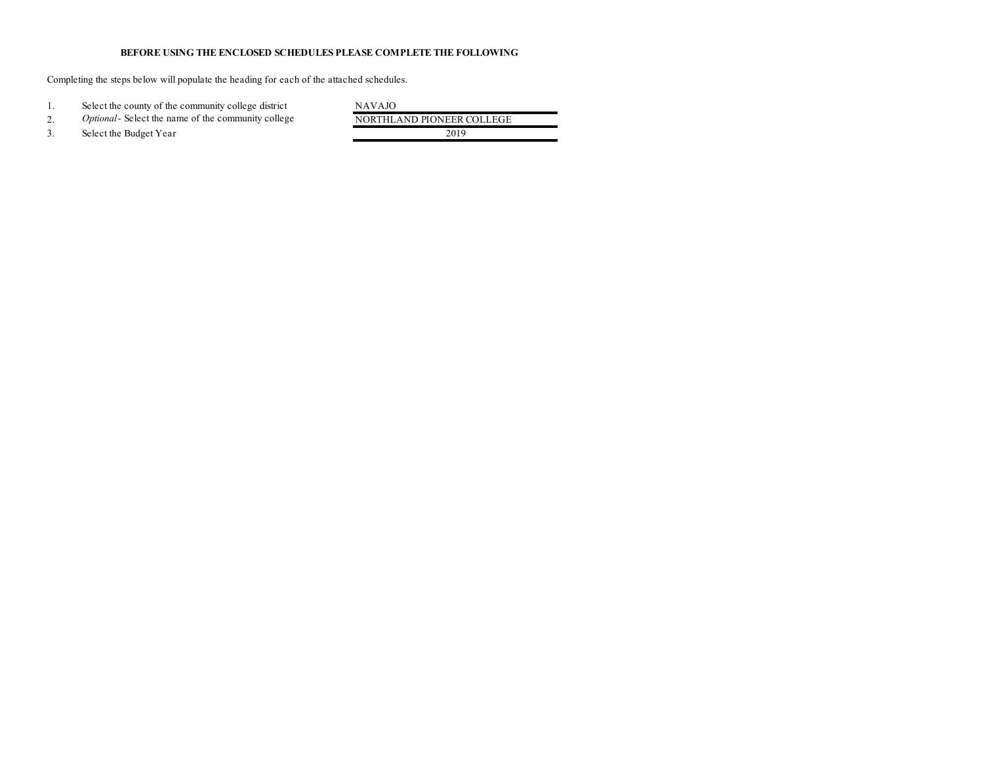## **BEFORE USING THE ENCLOSED SCHEDULES PLEASE COMPLETE THE FOLLOWING**

Completing the steps below will populate the heading for each of the attached schedules.

1. Select the county of the community college district<br>
2. Optional-Select the name of the community college NORTHLAND PIONEER COLLEGE 2. *Optional*- Select the name of the community college 3. Select the Budget Year 2019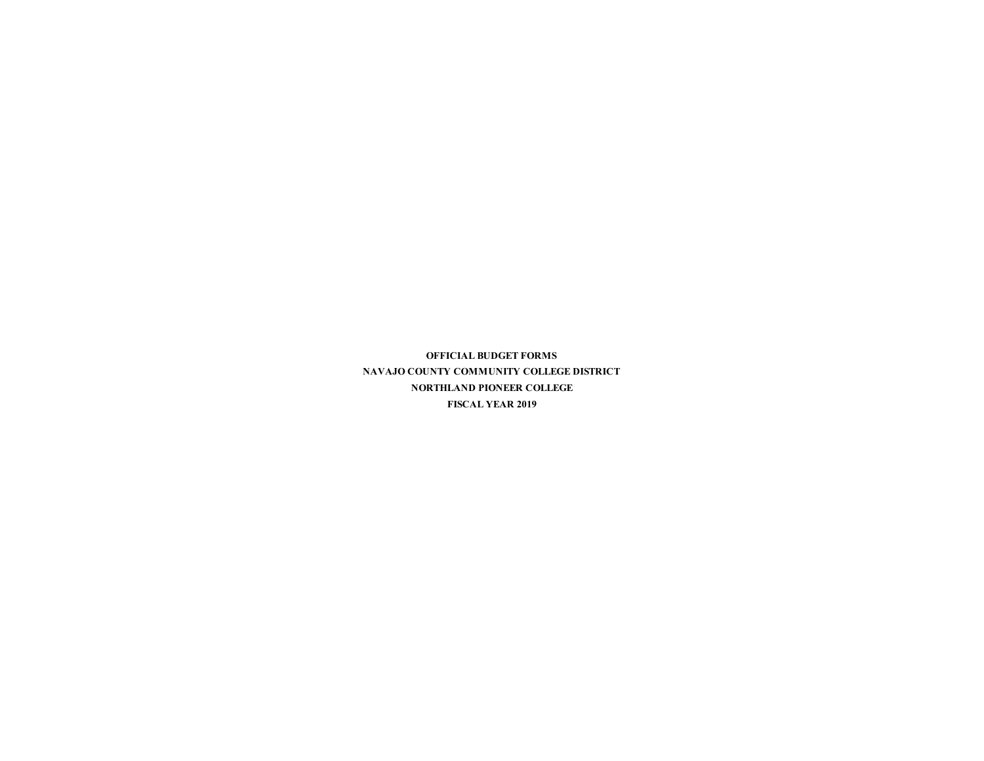**OFFICIAL BUDGET FORMS NAVAJO COUNTY COMMUNITY COLLEGE DISTRICT NORTHLAND PIONEER COLLEGE FISCAL YEAR 2019**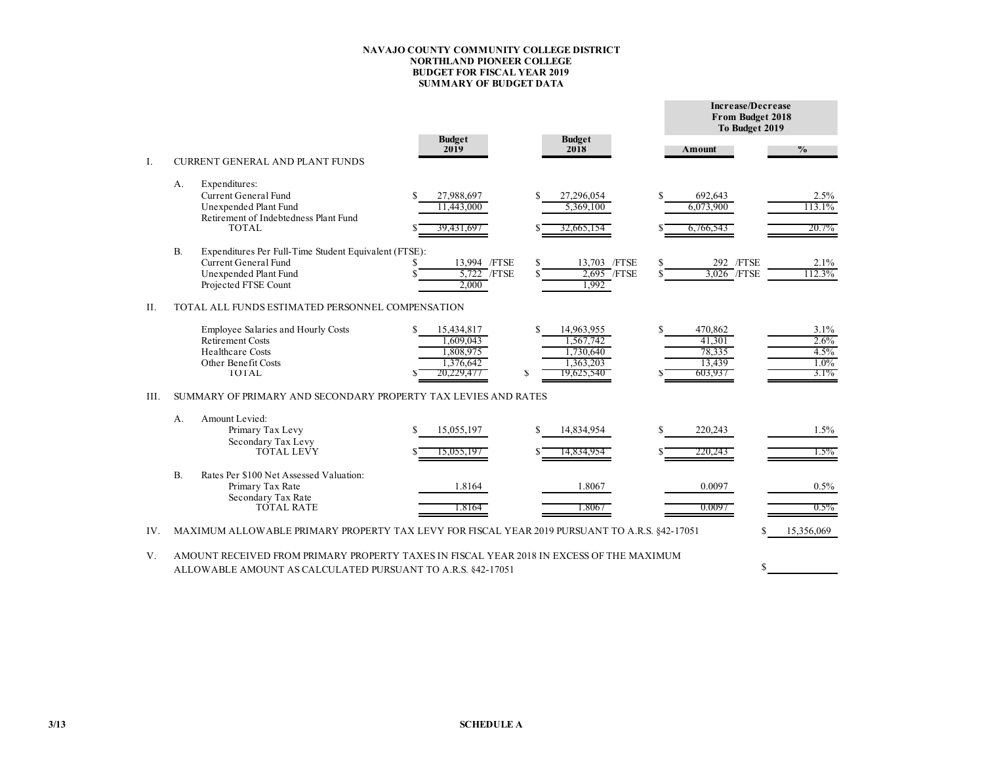### **NAVAJO COUNTY COMMUNITY COLLEGE DISTRICT NORTHLAND PIONEER COLLEGE BUDGET FOR FISCAL YEAR 2019 SUMMARY OF BUDGET DATA**

|      |    |                                                                                                                                                         |                                                                 |         |                                                                 |    | Increase/Decrease<br>From Budget 2018<br>To Budget 2019 |                                            |  |  |  |
|------|----|---------------------------------------------------------------------------------------------------------------------------------------------------------|-----------------------------------------------------------------|---------|-----------------------------------------------------------------|----|---------------------------------------------------------|--------------------------------------------|--|--|--|
| Ι.   |    | <b>CURRENT GENERAL AND PLANT FUNDS</b>                                                                                                                  | <b>Budget</b><br>2019                                           |         | <b>Budget</b><br>2018                                           |    | Amount                                                  | $\frac{0}{0}$                              |  |  |  |
|      | А. | Expenditures:<br>Current General Fund<br>Unexpended Plant Fund<br>Retirement of Indebtedness Plant Fund<br><b>TOTAL</b>                                 | 27,988,697<br>11,443,000<br>39, <del>431,69</del> 7             |         | 27,296,054<br>5,369,100<br>32,665,154                           | S  | 692,643<br>6,073,900<br>6,766,543                       | 2.5%<br>113.1%<br>20.7%                    |  |  |  |
|      | B. | Expenditures Per Full-Time Student Equivalent (FTSE):<br>Current General Fund<br>Unexpended Plant Fund<br>Projected FTSE Count                          | 13,994 /FTSE<br>5,722 / FTSE<br>2.000                           | \$      | 13,703 /FTSE<br>2,695 / FTSE<br>1,992                           | S  | 292 /FTSE<br>3,026 / FTSE                               | 2.1%<br>112.3%                             |  |  |  |
| II.  |    | TOTAL ALL FUNDS ESTIMATED PERSONNEL COMPENSATION                                                                                                        |                                                                 |         |                                                                 |    |                                                         |                                            |  |  |  |
|      |    | Employee Salaries and Hourly Costs<br><b>Retirement Costs</b><br><b>Healthcare Costs</b><br>Other Benefit Costs<br>TOTAL.                               | 15,434,817<br>1.609.043<br>1,808,975<br>1,376,642<br>20.229.477 | S.<br>S | 14,963,955<br>1.567.742<br>1,730,640<br>1,363,203<br>19,625,540 | S. | 470,862<br>41,301<br>78,335<br>13,439<br>603,937        | 3.1%<br>2.6%<br>4.5%<br>$1.0\%$<br>$3.1\%$ |  |  |  |
| III. |    | SUMMARY OF PRIMARY AND SECONDARY PROPERTY TAX LEVIES AND RATES                                                                                          |                                                                 |         |                                                                 |    |                                                         |                                            |  |  |  |
|      | A. | Amount Levied:<br>Primary Tax Levy<br>Secondary Tax Levy<br><b>TOTAL LEVY</b>                                                                           | 15,055,197<br>15,055,197                                        | \$      | 14,834,954<br>14,834,954                                        |    | 220,243<br>220,243                                      | 1.5%<br>$1.5\%$                            |  |  |  |
|      | B. | Rates Per \$100 Net Assessed Valuation:<br>Primary Tax Rate<br>Secondary Tax Rate<br><b>TOTAL RATE</b>                                                  | 1.8164<br>1.8164                                                |         | 1.8067<br>1.8067                                                |    | 0.0097<br>0.0097                                        | 0.5%<br>$0.5\%$                            |  |  |  |
| IV.  |    | MAXIMUM ALLOWABLE PRIMARY PROPERTY TAX LEVY FOR FISCAL YEAR 2019 PURSUANT TO A.R.S. §42-17051                                                           |                                                                 |         |                                                                 |    |                                                         | 15,356,069                                 |  |  |  |
| V.   |    | AMOUNT RECEIVED FROM PRIMARY PROPERTY TAXES IN FISCAL YEAR 2018 IN EXCESS OF THE MAXIMUM<br>ALLOWABLE AMOUNT AS CALCULATED PURSUANT TO A.R.S. 842-17051 |                                                                 |         |                                                                 |    | \$                                                      |                                            |  |  |  |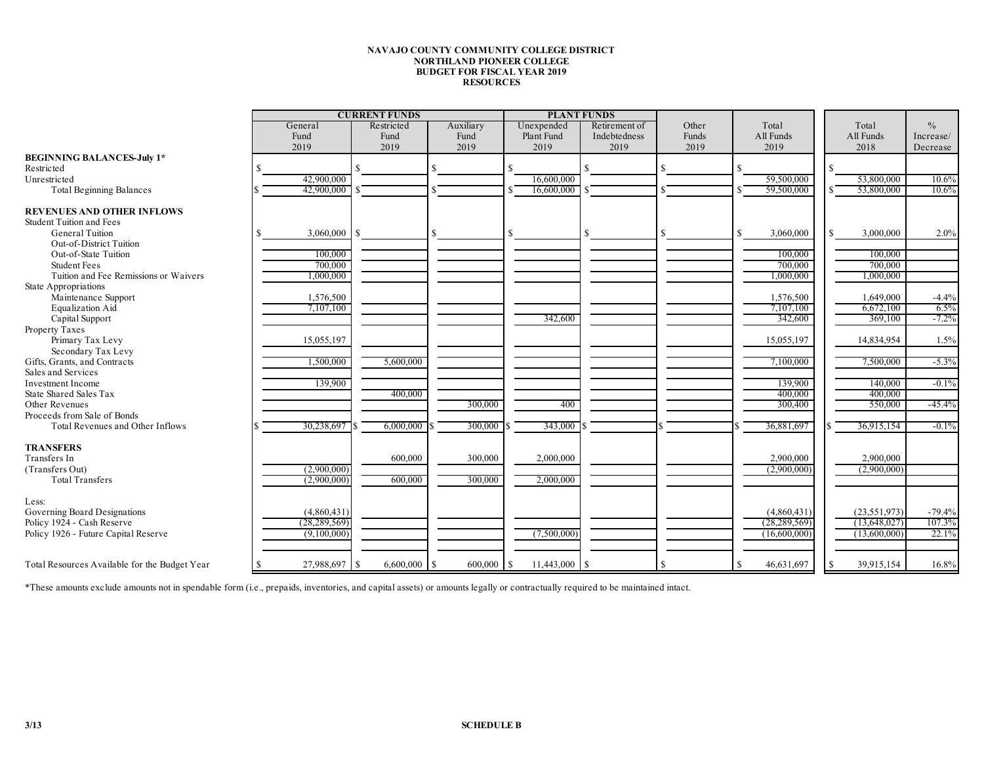#### **NAVAJO COUNTY COMMUNITY COLLEGE DISTRICT NORTHLAND PIONEER COLLEGE BUDGET FOR FISCAL YEAR 2019 RESOURCES**

|                                               | <b>CURRENT FUNDS</b> |                       |              |                 | <b>PLANT FUNDS</b> |       |                  |     |                |               |
|-----------------------------------------------|----------------------|-----------------------|--------------|-----------------|--------------------|-------|------------------|-----|----------------|---------------|
|                                               | General              | Restricted            | Auxiliary    | Unexpended      | Retirement of      | Other | Total            |     | Total          | $\frac{0}{0}$ |
|                                               | Fund                 | Fund                  | Fund         | Plant Fund      | Indebtedness       | Funds | All Funds        |     | All Funds      | Increase/     |
|                                               | 2019                 | 2019                  | 2019         | 2019            | 2019               | 2019  | 2019             |     | 2018           | Decrease      |
| <b>BEGINNING BALANCES-July 1*</b>             |                      |                       |              |                 |                    |       |                  |     |                |               |
| Restricted                                    |                      |                       |              |                 |                    |       |                  | \$. |                |               |
|                                               |                      |                       |              |                 |                    |       |                  |     |                |               |
| Unrestricted                                  | 42,900,000           |                       |              | 16,600,000      |                    |       | 59,500,000       |     | 53,800,000     | 10.6%         |
| <b>Total Beginning Balances</b>               | 42,900,000           |                       |              | 16,600,000      |                    |       | 59,500,000       |     | 53,800,000     | 10.6%         |
| <b>REVENUES AND OTHER INFLOWS</b>             |                      |                       |              |                 |                    |       |                  |     |                |               |
| <b>Student Tuition and Fees</b>               |                      |                       |              |                 |                    |       |                  |     |                |               |
|                                               |                      |                       |              |                 |                    | S     |                  |     |                |               |
| General Tuition                               | 3,060,000            | l S                   |              |                 |                    |       | 3,060,000<br>\$. | S.  | 3,000,000      | 2.0%          |
| <b>Out-of-District Tuition</b>                |                      |                       |              |                 |                    |       |                  |     |                |               |
| Out-of-State Tuition                          | 100,000              |                       |              |                 |                    |       | 100,000          |     | 100,000        |               |
| <b>Student Fees</b>                           | 700,000              |                       |              |                 |                    |       | 700,000          |     | 700,000        |               |
| Tuition and Fee Remissions or Waivers         | 000,000              |                       |              |                 |                    |       | 1,000,000        |     | 1,000,000      |               |
| State Appropriations                          |                      |                       |              |                 |                    |       |                  |     |                |               |
| Maintenance Support                           | 1,576,500            |                       |              |                 |                    |       | 1,576,500        |     | 1,649,000      | $-4.4%$       |
| <b>Equalization Aid</b>                       | 7,107,100            |                       |              |                 |                    |       | 7,107,100        |     | 6,672,100      | 6.5%          |
| Capital Support                               |                      |                       |              | 342,600         |                    |       | 342,600          |     | 369,100        | $-7.2%$       |
| Property Taxes                                |                      |                       |              |                 |                    |       |                  |     |                |               |
| Primary Tax Levy                              | 15,055,197           |                       |              |                 |                    |       | 15,055,197       |     | 14,834,954     | 1.5%          |
| Secondary Tax Levy                            |                      |                       |              |                 |                    |       |                  |     |                |               |
| Gifts, Grants, and Contracts                  | 1,500,000            | 5,600,000             |              |                 |                    |       | 7,100,000        |     | 7,500,000      | $-5.3%$       |
| Sales and Services                            |                      |                       |              |                 |                    |       |                  |     |                |               |
| Investment Income                             | 139,900              |                       |              |                 |                    |       | 139,900          |     | 140,000        | $-0.1%$       |
| State Shared Sales Tax                        |                      | 400,000               |              |                 |                    |       | 400,000          |     | 400,000        |               |
| Other Revenues                                |                      |                       |              | 400             |                    |       | 300,400          |     | 550,000        | $-45.4%$      |
|                                               |                      |                       | 300,000      |                 |                    |       |                  |     |                |               |
| Proceeds from Sale of Bonds                   |                      |                       |              |                 |                    |       |                  |     |                |               |
| Total Revenues and Other Inflows              | 30,238,697           | $6,000,000$ \$        | 300,000      | 343,000         |                    |       | 36,881,697       |     | 36,915,154     | $-0.1%$       |
| <b>TRANSFERS</b>                              |                      |                       |              |                 |                    |       |                  |     |                |               |
| Transfers In                                  |                      | 600,000               | 300,000      | 2,000,000       |                    |       | 2,900,000        |     | 2,900,000      |               |
| (Transfers Out)                               | (2,900,000)          |                       |              |                 |                    |       | (2,900,000)      |     | (2,900,000)    |               |
| <b>Total Transfers</b>                        | (2,900,000)          | 600,000               | 300,000      | 2,000,000       |                    |       |                  |     |                |               |
|                                               |                      |                       |              |                 |                    |       |                  |     |                |               |
| Less:                                         |                      |                       |              |                 |                    |       |                  |     |                |               |
| Governing Board Designations                  | (4,860,431)          |                       |              |                 |                    |       | (4,860,431)      |     | (23, 551, 973) | $-79.4%$      |
| Policy 1924 - Cash Reserve                    | (28, 289, 569)       |                       |              |                 |                    |       | (28, 289, 569)   |     | (13,648,027)   | 107.3%        |
| Policy 1926 - Future Capital Reserve          | (9,100,000)          |                       |              | (7,500,000)     |                    |       | (16,600,000)     |     | (13,600,000)   | 22.1%         |
|                                               |                      |                       |              |                 |                    |       |                  |     |                |               |
|                                               |                      |                       |              |                 |                    |       |                  |     |                |               |
| Total Resources Available for the Budget Year | 27,988,697           | $6,600,000$ \$<br>l S | $600,000$ \$ | $11,443,000$ \$ |                    |       | 46,631,697       | S.  | 39,915,154     | 16.8%         |

\*These amounts exclude amounts not in spendable form (i.e., prepaids, inventories, and capital assets) or amounts legally or contractually required to be maintained intact.